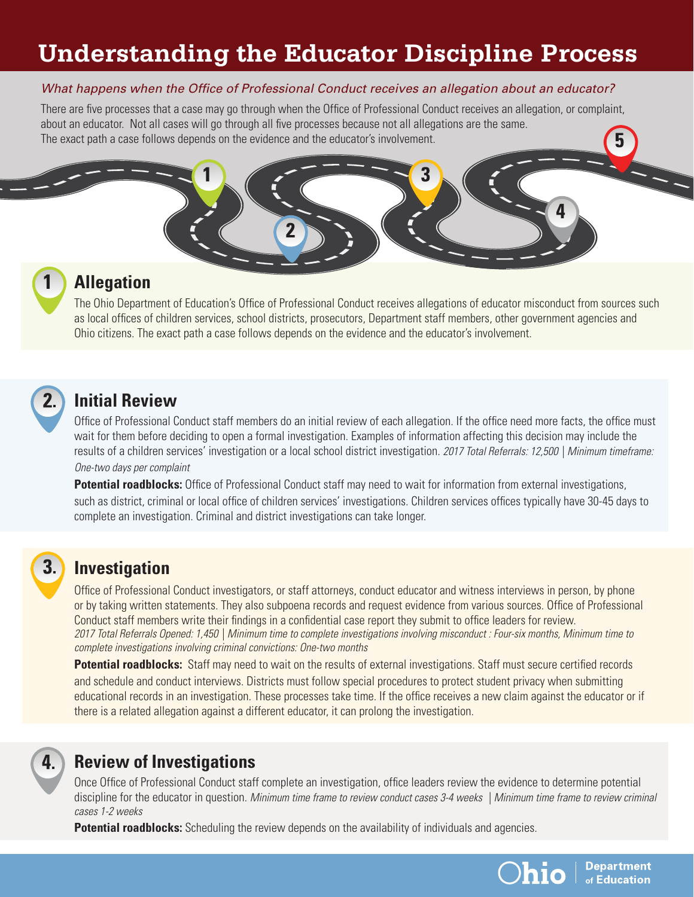# **Understanding the Educator Discipline Process**

#### What happens when the Office of Professional Conduct receives an allegation about an educator?

There are five processes that a case may go through when the Office of Professional Conduct receives an allegation, or complaint, about an educator. Not all cases will go through all five processes because not all allegations are the same. The exact path a case follows depends on the evidence and the educator's involvement.

# **Allegation**

The Ohio Department of Education's Office of Professional Conduct receives allegations of educator misconduct from sources such as local offices of children services, school districts, prosecutors, Department staff members, other government agencies and Ohio citizens. The exact path a case follows depends on the evidence and the educator's involvement.

#### **Initial Review**

Office of Professional Conduct staff members do an initial review of each allegation. If the office need more facts, the office must wait for them before deciding to open a formal investigation. Examples of information affecting this decision may include the results of a children services' investigation or a local school district investigation. 2017 Total Referrals: 12,500 | Minimum timeframe: One-two days per complaint

**Potential roadblocks:** Office of Professional Conduct staff may need to wait for information from external investigations, such as district, criminal or local office of children services' investigations. Children services offices typically have 30-45 days to complete an investigation. Criminal and district investigations can take longer.

### **Investigation**

Office of Professional Conduct investigators, or staff attorneys, conduct educator and witness interviews in person, by phone or by taking written statements. They also subpoena records and request evidence from various sources. Office of Professional Conduct staff members write their findings in a confidential case report they submit to office leaders for review. 2017 Total Referrals Opened: 1,450 | Minimum time to complete investigations involving misconduct : Four-six months, Minimum time to complete investigations involving criminal convictions: One-two months

Potential roadblocks: Staff may need to wait on the results of external investigations. Staff must secure certified records and schedule and conduct interviews. Districts must follow special procedures to protect student privacy when submitting educational records in an investigation. These processes take time. If the office receives a new claim against the educator or if there is a related allegation against a different educator, it can prolong the investigation.

## **Review of Investigations**

Once Office of Professional Conduct staff complete an investigation, office leaders review the evidence to determine potential discipline for the educator in question. Minimum time frame to review conduct cases 3-4 weeks | Minimum time frame to review criminal cases 1-2 weeks

**Potential roadblocks:** Scheduling the review depends on the availability of individuals and agencies.